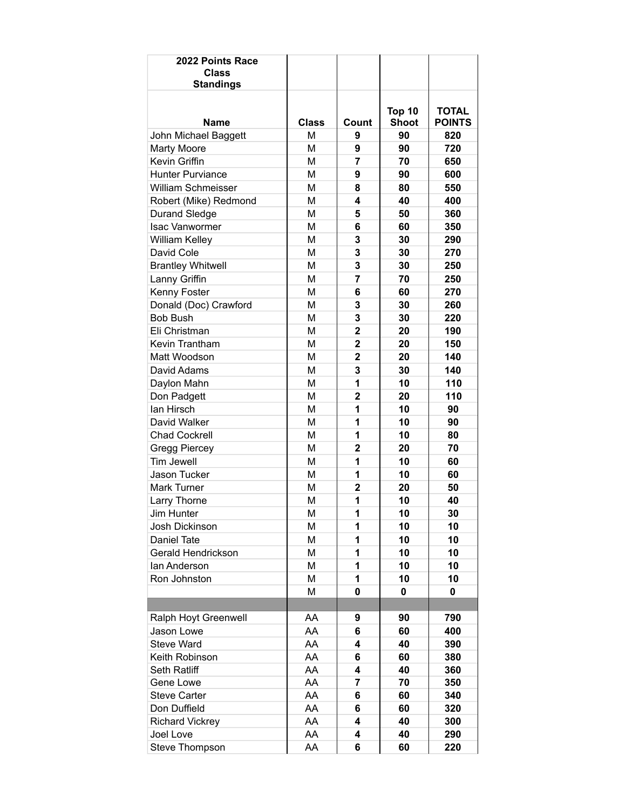| 2022 Points Race<br>Class<br><b>Standings</b> |              |                         |               |               |
|-----------------------------------------------|--------------|-------------------------|---------------|---------------|
|                                               |              |                         |               |               |
|                                               |              |                         | <b>Top 10</b> | <b>TOTAL</b>  |
| Name                                          | <b>Class</b> | Count                   | <b>Shoot</b>  | <b>POINTS</b> |
| John Michael Baggett                          | М            | 9                       | 90            | 820           |
| <b>Marty Moore</b><br>Kevin Griffin           | M            | 9                       | 90            | 720           |
|                                               | M            | $\overline{7}$          | 70            | 650           |
| <b>Hunter Purviance</b>                       | M            | 9                       | 90            | 600           |
| <b>William Schmeisser</b>                     | M            | 8<br>4                  | 80            | 550           |
| Robert (Mike) Redmond                         | M            |                         | 40            | 400           |
| <b>Durand Sledge</b>                          | M            | 5                       | 50            | 360           |
| <b>Isac Vanwormer</b>                         | M            | 6                       | 60            | 350           |
| William Kelley                                | M            | 3                       | 30            | 290           |
| David Cole                                    | M            | 3                       | 30            | 270           |
| <b>Brantley Whitwell</b>                      | M            | 3                       | 30            | 250           |
| Lanny Griffin                                 | M            | $\overline{7}$          | 70            | 250           |
| Kenny Foster                                  | M            | 6                       | 60            | 270           |
| Donald (Doc) Crawford                         | М            | 3                       | 30            | 260           |
| <b>Bob Bush</b>                               | М            | 3                       | 30            | 220           |
| Eli Christman                                 | М            | $\overline{\mathbf{2}}$ | 20            | 190           |
| Kevin Trantham                                | M            | $\overline{\mathbf{2}}$ | 20            | 150           |
| Matt Woodson                                  | M            | $\mathbf{2}$            | 20            | 140           |
| David Adams                                   | M            | 3                       | 30            | 140           |
| Daylon Mahn                                   | M            | 1                       | 10            | 110           |
| Don Padgett                                   | M            | $\overline{2}$          | 20            | 110           |
| lan Hirsch                                    | M            | 1                       | 10            | 90            |
| David Walker                                  | M            | 1                       | 10            | 90            |
| <b>Chad Cockrell</b>                          | M            | 1                       | 10            | 80            |
| <b>Gregg Piercey</b>                          | M            | 2                       | 20            | 70            |
| <b>Tim Jewell</b>                             | M            | 1                       | 10            | 60            |
| <b>Jason Tucker</b>                           | M            | 1                       | 10            | 60            |
| <b>Mark Turner</b>                            | M            | $\overline{2}$          | 20            | 50            |
| Larry Thorne                                  | М            | 1                       | 10            | 40            |
| Jim Hunter                                    | M            | 1                       | 10            | 30            |
| Josh Dickinson                                | M            | 1                       | 10            | 10            |
| Daniel Tate                                   | M            | 1                       | 10            | 10            |
| Gerald Hendrickson                            | M            | 1                       | 10            | 10            |
| lan Anderson                                  | M            | 1                       | 10            | 10            |
| Ron Johnston                                  | M            | 1                       | 10            | 10            |
|                                               | M            | 0                       | 0             | 0             |
|                                               |              |                         |               |               |
| Ralph Hoyt Greenwell                          | AA           | 9                       | 90            | 790           |
| Jason Lowe                                    | AA           | 6                       | 60            | 400           |
| <b>Steve Ward</b>                             | AA           | 4                       | 40            | 390           |
| Keith Robinson                                | AA           | 6                       | 60            | 380           |
| Seth Ratliff                                  | AA           | 4                       | 40            | 360           |
| Gene Lowe                                     | AA           | 7                       | 70            | 350           |
| <b>Steve Carter</b>                           | AA           | 6                       | 60            | 340           |
| Don Duffield                                  | AA           | 6                       | 60            | 320           |
| <b>Richard Vickrey</b>                        | AA           | 4                       | 40            | 300           |
| Joel Love                                     | AA           | 4                       | 40            | 290           |
| Steve Thompson                                | AA           | 6                       | 60            | 220           |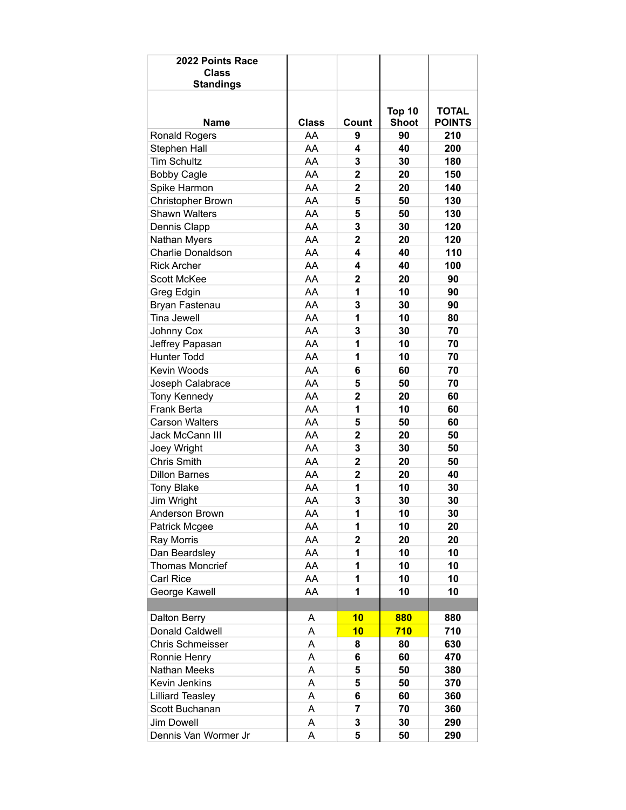| 2022 Points Race<br><b>Class</b><br><b>Standings</b> |              |                         |                               |                               |
|------------------------------------------------------|--------------|-------------------------|-------------------------------|-------------------------------|
| <b>Name</b>                                          | <b>Class</b> | Count                   | <b>Top 10</b><br><b>Shoot</b> | <b>TOTAL</b><br><b>POINTS</b> |
| <b>Ronald Rogers</b>                                 | AA           | 9                       | 90                            | 210                           |
| Stephen Hall                                         | AA           | 4                       | 40                            | 200                           |
| <b>Tim Schultz</b>                                   | AA           | 3                       | 30                            | 180                           |
| <b>Bobby Cagle</b>                                   | AA           | $\overline{\mathbf{2}}$ | 20                            | 150                           |
| Spike Harmon                                         | AA           | $\overline{2}$          | 20                            | 140                           |
| Christopher Brown                                    | AA           | 5                       | 50                            | 130                           |
| <b>Shawn Walters</b>                                 | AA           | 5                       | 50                            | 130                           |
| Dennis Clapp                                         | AA           | 3                       | 30                            | 120                           |
| Nathan Myers                                         | AA           | $\overline{\mathbf{2}}$ | 20                            | 120                           |
| Charlie Donaldson                                    | AA           | 4                       | 40                            | 110                           |
| <b>Rick Archer</b>                                   | AA           | 4                       | 40                            | 100                           |
| <b>Scott McKee</b>                                   | AA           | $\overline{2}$          | 20                            | 90                            |
| Greg Edgin                                           | AA           | 1                       | 10                            | 90                            |
| Bryan Fastenau                                       | AA           | 3                       | 30                            | 90                            |
| Tina Jewell                                          | AA           | 1                       | 10                            | 80                            |
| Johnny Cox                                           | AA           | 3                       | 30                            | 70                            |
| Jeffrey Papasan                                      | AA           | 1                       | 10                            | 70                            |
| <b>Hunter Todd</b>                                   | AA           | 1                       | 10                            | 70                            |
| Kevin Woods                                          | AA           | 6                       | 60                            | 70                            |
| Joseph Calabrace                                     | AA           | 5                       | 50                            | 70                            |
| Tony Kennedy                                         | AA           | $\overline{2}$          | 20                            | 60                            |
| Frank Berta                                          | AA           | 1                       | 10                            | 60                            |
| <b>Carson Walters</b>                                | AA           | 5                       | 50                            | 60                            |
| Jack McCann III                                      | AA           | $\overline{\mathbf{2}}$ | 20                            | 50                            |
| Joey Wright                                          | AA           | 3                       | 30                            | 50                            |
| <b>Chris Smith</b>                                   | AA           | $\overline{2}$          | 20                            | 50                            |
| <b>Dillon Barnes</b>                                 | AA           | 2                       | 20                            | 40                            |
| <b>Tony Blake</b>                                    | AA           | 1                       | 10                            | 30                            |
| Jim Wright                                           | AA           | 3                       | 30                            | 30                            |
| Anderson Brown                                       | AA           | 1                       | 10                            | 30                            |
| Patrick Mcgee                                        | AA           | 1                       | 10                            | 20                            |
| <b>Ray Morris</b>                                    | AA           | $\mathbf 2$             | 20                            | 20                            |
| Dan Beardsley                                        | AA           | 1                       | 10                            | 10                            |
| <b>Thomas Moncrief</b>                               | AA           | 1                       | 10                            | 10                            |
| <b>Carl Rice</b>                                     | AA           | 1                       | 10                            | 10                            |
| George Kawell                                        | AA           | 1                       | 10                            | 10                            |
|                                                      |              |                         |                               |                               |
| Dalton Berry                                         | A            | 10                      | 880                           | 880                           |
| Donald Caldwell                                      | Α            | 10                      | 710                           | 710                           |
| Chris Schmeisser                                     | A            | 8                       | 80                            | 630                           |
| Ronnie Henry                                         | A            | 6                       | 60                            | 470                           |
| Nathan Meeks                                         | A            | 5                       | 50                            | 380                           |
| Kevin Jenkins                                        | A            | 5                       | 50                            | 370                           |
| <b>Lilliard Teasley</b>                              | A            | 6                       | 60                            | 360                           |
| Scott Buchanan                                       | A            | $\overline{7}$          | 70                            | 360                           |
| <b>Jim Dowell</b>                                    | A            | 3                       | 30                            | 290                           |
| Dennis Van Wormer Jr                                 | А            | 5                       | 50                            | 290                           |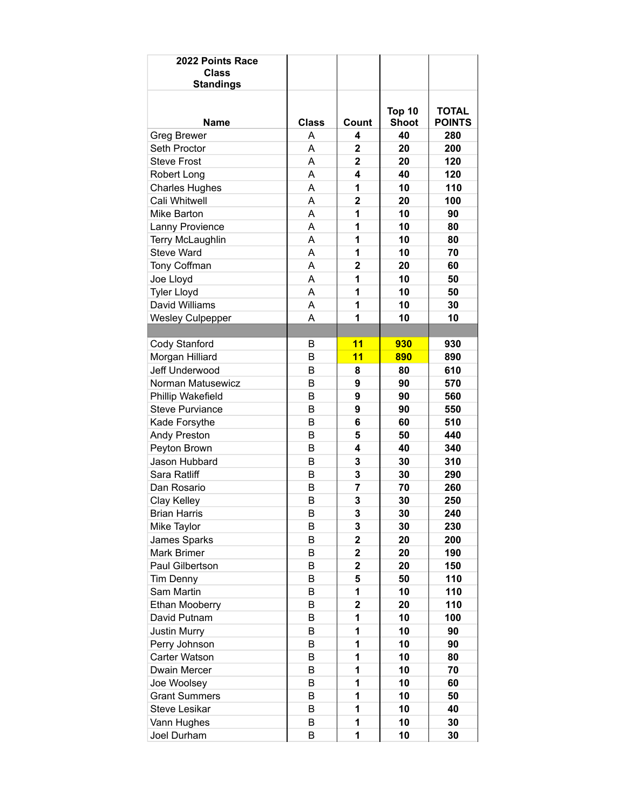| 2022 Points Race<br><b>Class</b><br><b>Standings</b> |              |                         |                        |                               |
|------------------------------------------------------|--------------|-------------------------|------------------------|-------------------------------|
| <b>Name</b>                                          | <b>Class</b> | Count                   | Top 10<br><b>Shoot</b> | <b>TOTAL</b><br><b>POINTS</b> |
| <b>Greg Brewer</b>                                   | A            | 4                       | 40                     | 280                           |
| Seth Proctor                                         | A            | 2                       | 20                     | 200                           |
| <b>Steve Frost</b>                                   | A            | $\overline{\mathbf{2}}$ | 20                     | 120                           |
| Robert Long                                          | A            | 4                       | 40                     | 120                           |
| <b>Charles Hughes</b>                                | A            | 1                       | 10                     | 110                           |
| Cali Whitwell                                        | A            | $\overline{2}$          | 20                     | 100                           |
| Mike Barton                                          | A            | 1                       | 10                     | 90                            |
| Lanny Provience                                      | A            | 1                       | 10                     | 80                            |
| Terry McLaughlin                                     | A            | 1                       | 10                     | 80                            |
| <b>Steve Ward</b>                                    | A            | 1                       | 10                     | 70                            |
| Tony Coffman                                         | A            | $\overline{\mathbf{2}}$ | 20                     | 60                            |
| Joe Lloyd                                            | A            | 1                       | 10                     | 50                            |
| <b>Tyler Lloyd</b>                                   | A            | 1                       | 10                     | 50                            |
| David Williams                                       | A            | 1                       | 10                     | 30                            |
| <b>Wesley Culpepper</b>                              | A            | 1                       | 10                     | 10                            |
|                                                      |              |                         |                        |                               |
| Cody Stanford                                        | B            | 11                      | 930                    | 930                           |
| Morgan Hilliard                                      | B            | 11                      | 890                    | 890                           |
| Jeff Underwood                                       | B            | 8                       | 80                     | 610                           |
| Norman Matusewicz                                    | B            | 9                       | 90                     | 570                           |
| Phillip Wakefield                                    | B            | 9                       | 90                     | 560                           |
| <b>Steve Purviance</b>                               | B            | 9                       | 90                     | 550                           |
| Kade Forsythe                                        | B            | 6                       | 60                     | 510                           |
| Andy Preston                                         | B            | 5                       | 50                     | 440                           |
| Peyton Brown                                         | B            | 4                       | 40                     | 340                           |
| Jason Hubbard                                        | B            | 3                       | 30                     | 310                           |
| Sara Ratliff                                         | B            | 3                       | 30                     | 290                           |
| Dan Rosario                                          | B            | $\overline{7}$          | 70                     | 260                           |
| Clay Kelley                                          | B            | 3                       | 30                     | 250                           |
| <b>Brian Harris</b>                                  | B            | 3                       | 30                     | 240                           |
| Mike Taylor                                          | B            | 3                       | 30                     | 230                           |
| James Sparks                                         | B            | $\mathbf 2$             | 20                     | 200                           |
| <b>Mark Brimer</b>                                   | B            | $\mathbf 2$             | 20                     | 190                           |
| Paul Gilbertson                                      | B            | $\overline{\mathbf{2}}$ | 20                     | 150                           |
| Tim Denny                                            | B            | 5                       | 50                     | 110                           |
| Sam Martin                                           | B            | 1                       | 10                     | 110                           |
| Ethan Mooberry                                       | B            | $\overline{2}$          | 20                     | 110                           |
| David Putnam                                         | B            | 1                       | 10                     | 100                           |
| <b>Justin Murry</b>                                  | B            | 1                       | 10                     | 90                            |
| Perry Johnson                                        | B            | 1                       | 10                     | 90                            |
| Carter Watson                                        | B            | 1                       | 10                     | 80                            |
| Dwain Mercer                                         | B            | 1                       | 10                     | 70                            |
| Joe Woolsey                                          | B            | 1                       | 10                     | 60                            |
| <b>Grant Summers</b>                                 | B            | 1                       | 10                     | 50                            |
| <b>Steve Lesikar</b>                                 | B            | 1                       | 10                     | 40                            |
| Vann Hughes                                          | B            | 1                       | 10                     | 30                            |
| Joel Durham                                          | B            | 1                       | 10                     | 30                            |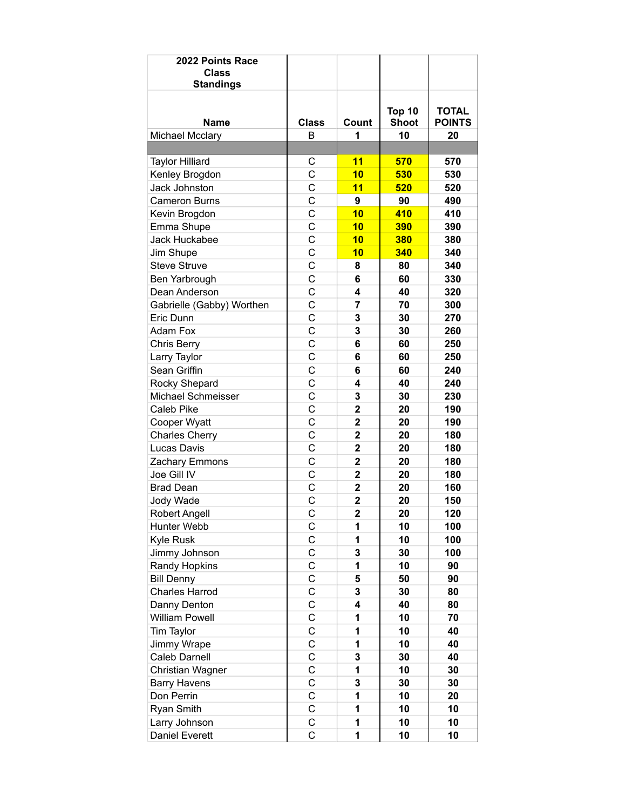| 2022 Points Race<br><b>Class</b><br><b>Standings</b> |                |                         |                        |                               |
|------------------------------------------------------|----------------|-------------------------|------------------------|-------------------------------|
| <b>Name</b>                                          | <b>Class</b>   | Count                   | Top 10<br><b>Shoot</b> | <b>TOTAL</b><br><b>POINTS</b> |
| Michael Mcclary                                      | B              | 1                       | 10                     | 20                            |
|                                                      |                |                         |                        |                               |
| <b>Taylor Hilliard</b>                               | С              | 11                      | 570                    | 570                           |
| Kenley Brogdon                                       | Ċ              | 10                      | 530                    | 530                           |
| <b>Jack Johnston</b>                                 | C              | 11                      | 520                    | 520                           |
| <b>Cameron Burns</b>                                 | $\mathbf C$    | 9                       | 90                     | 490                           |
| Kevin Brogdon                                        | C              | 10                      | 410                    | 410                           |
| Emma Shupe                                           | C              | 10                      | 390                    | 390                           |
| Jack Huckabee                                        | C              | 10                      | 380                    | 380                           |
| Jim Shupe                                            | Ċ              | 10                      | 340                    | 340                           |
| <b>Steve Struve</b>                                  | C              | 8                       | 80                     | 340                           |
| Ben Yarbrough                                        | Ċ              | 6                       | 60                     | 330                           |
| Dean Anderson                                        | C              | 4                       | 40                     | 320                           |
| Gabrielle (Gabby) Worthen                            | Ċ              | $\overline{7}$          | 70                     | 300                           |
| Eric Dunn                                            | C              | 3                       | 30                     | 270                           |
| Adam Fox                                             | C              | 3                       | 30                     | 260                           |
| <b>Chris Berry</b>                                   | C              | 6                       | 60                     | 250                           |
| Larry Taylor                                         | C              | 6                       | 60                     | 250                           |
| Sean Griffin                                         | C              | 6                       | 60                     | 240                           |
| Rocky Shepard                                        | Ċ              | 4                       | 40                     | 240                           |
| Michael Schmeisser                                   | C              | 3                       | 30                     | 230                           |
| Caleb Pike                                           | $\mathbf C$    | $\overline{2}$          | 20                     | 190                           |
| Cooper Wyatt                                         | C              | $\overline{\mathbf{2}}$ | 20                     | 190                           |
| <b>Charles Cherry</b>                                | C              | $\mathbf 2$             | 20                     | 180                           |
| Lucas Davis                                          | C              | $\overline{\mathbf{2}}$ | 20                     | 180                           |
| Zachary Emmons                                       | C              | $\overline{2}$          | 20                     | 180                           |
| Joe Gill IV                                          | C              | 2                       | 20                     | 180                           |
| <b>Brad Dean</b>                                     | C              | $\overline{\mathbf{c}}$ | 20                     | 160                           |
| Jody Wade                                            | $\mathsf C$    | $\overline{\mathbf{2}}$ | 20                     | 150                           |
| Robert Angell                                        | C              | $\overline{\mathbf{2}}$ | 20                     | 120                           |
| Hunter Webb                                          | C              | 1                       | 10                     | 100                           |
| <b>Kyle Rusk</b>                                     | C              | 1                       | 10                     | 100                           |
| Jimmy Johnson                                        | С              | 3                       | 30                     | 100                           |
| Randy Hopkins                                        | $\mathsf C$    | 1                       | 10                     | 90                            |
| <b>Bill Denny</b>                                    | $\mathsf C$    | 5                       | 50                     | 90                            |
| <b>Charles Harrod</b>                                | C              | 3                       | 30                     | 80                            |
| Danny Denton                                         | C              | 4                       | 40                     | 80                            |
| <b>William Powell</b>                                | C              | 1                       | 10                     | 70                            |
| Tim Taylor                                           | C              | 1                       | 10                     | 40                            |
| Jimmy Wrape                                          | C              | 1                       | 10                     | 40                            |
| Caleb Darnell                                        | C              | 3                       | 30                     | 40                            |
| Christian Wagner                                     | C              | 1                       | 10                     | 30                            |
| <b>Barry Havens</b>                                  | $\mathsf C$    | 3                       | 30                     | 30                            |
| Don Perrin                                           | $\mathsf C$    | 1                       | 10                     | 20                            |
| Ryan Smith                                           | $\mathsf C$    | 1                       | 10                     | 10                            |
| Larry Johnson                                        | $\mathsf C$    | 1                       | 10                     | 10                            |
| Daniel Everett                                       | $\overline{C}$ | 1                       | 10                     | 10                            |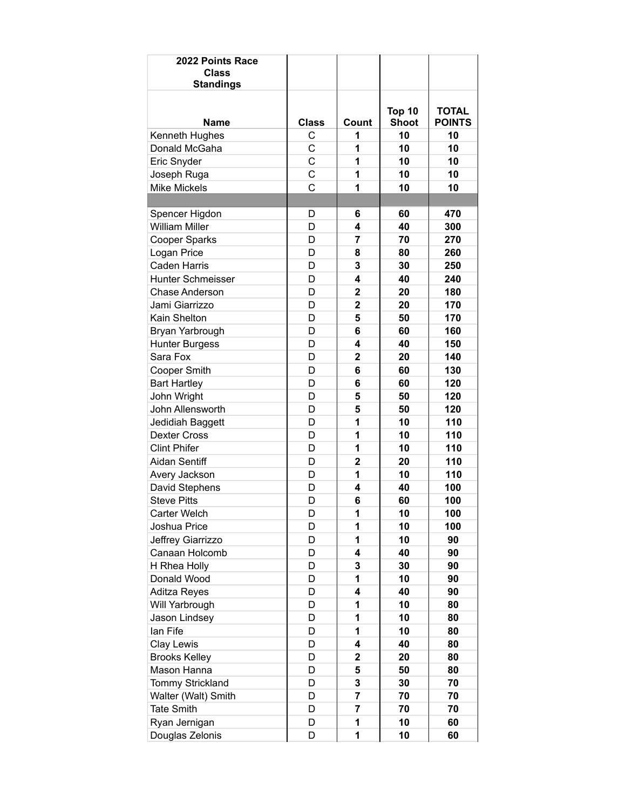| <b>Standings</b><br>Top 10<br><b>TOTAL</b><br><b>Shoot</b><br><b>POINTS</b><br><b>Name</b><br><b>Class</b><br>Count<br>Kenneth Hughes<br>10<br>10<br>С<br>1 |
|-------------------------------------------------------------------------------------------------------------------------------------------------------------|
|                                                                                                                                                             |
|                                                                                                                                                             |
| Ċ<br>1<br>10<br>10<br>Donald McGaha                                                                                                                         |
| C<br>10<br>Eric Snyder<br>1<br>10                                                                                                                           |
| C<br>1<br>10<br>10<br>Joseph Ruga                                                                                                                           |
| C<br><b>Mike Mickels</b><br>1<br>10<br>10                                                                                                                   |
|                                                                                                                                                             |
| Spencer Higdon<br>60<br>470<br>D<br>6                                                                                                                       |
| <b>William Miller</b><br>40<br>D<br>4<br>300                                                                                                                |
| 70<br>Cooper Sparks<br>D<br>7<br>270                                                                                                                        |
| D<br>Logan Price<br>8<br>80<br>260                                                                                                                          |
| <b>Caden Harris</b><br>D<br>3<br>30<br>250                                                                                                                  |
| Hunter Schmeisser<br>D<br>4<br>40<br>240                                                                                                                    |
| D<br>$\mathbf{2}$<br>20<br>180<br><b>Chase Anderson</b>                                                                                                     |
| $\overline{2}$<br>D<br>20<br>170<br>Jami Giarrizzo                                                                                                          |
| Kain Shelton<br>5<br>D<br>50<br>170                                                                                                                         |
| D<br>6<br>60<br>160<br>Bryan Yarbrough                                                                                                                      |
| <b>Hunter Burgess</b><br>D<br>40<br>150<br>4                                                                                                                |
| $\overline{2}$<br>20<br>Sara Fox<br>D<br>140                                                                                                                |
| <b>Cooper Smith</b><br>D<br>6<br>60<br>130                                                                                                                  |
| D<br>6<br>60<br>120<br><b>Bart Hartley</b>                                                                                                                  |
| 120<br>John Wright<br>D<br>5<br>50                                                                                                                          |
| 5<br>John Allensworth<br>D<br>50<br>120                                                                                                                     |
| 1<br>10<br>110<br>Jedidiah Baggett<br>D                                                                                                                     |
| 1<br>10<br>110<br><b>Dexter Cross</b><br>D                                                                                                                  |
| 110<br><b>Clint Phifer</b><br>D<br>1<br>10                                                                                                                  |
| <b>Aidan Sentiff</b><br>D<br>$\overline{2}$<br>20<br>110                                                                                                    |
| D<br>10<br>110<br>Avery Jackson<br>1                                                                                                                        |
| David Stephens<br>D<br>4<br>40<br>100                                                                                                                       |
| <b>Steve Pitts</b><br>6<br>D<br>60<br>100                                                                                                                   |
| D<br>10<br>100<br>Carter Welch<br>1                                                                                                                         |
| 1<br>10<br>100<br>Joshua Price<br>D                                                                                                                         |
| 1<br>10<br>Jeffrey Giarrizzo<br>D<br>90                                                                                                                     |
| Canaan Holcomb<br>D<br>4<br>40<br>90                                                                                                                        |
| H Rhea Holly<br>3<br>30<br>D<br>90                                                                                                                          |
| D<br>10<br>Donald Wood<br>1<br>90                                                                                                                           |
| D<br>4<br><b>Aditza Reyes</b><br>40<br>90                                                                                                                   |
| 1<br>10<br>Will Yarbrough<br>D<br>80                                                                                                                        |
| 1<br>10<br>Jason Lindsey<br>D<br>80                                                                                                                         |
| lan Fife<br>1<br>10<br>D<br>80                                                                                                                              |
| Clay Lewis<br>D<br>4<br>40<br>80                                                                                                                            |
| <b>Brooks Kelley</b><br>D<br>$\mathbf 2$<br>20<br>80                                                                                                        |
| Mason Hanna<br>50<br>D<br>5<br>80                                                                                                                           |
| Tommy Strickland<br>3<br>30<br>D<br>70                                                                                                                      |
| Walter (Walt) Smith<br>D<br>7<br>70<br>70                                                                                                                   |
| <b>Tate Smith</b><br>7<br>70<br>D<br>70                                                                                                                     |
| Ryan Jernigan<br>1<br>10<br>D<br>60                                                                                                                         |
| 1<br>Douglas Zelonis<br>10<br>D<br>60                                                                                                                       |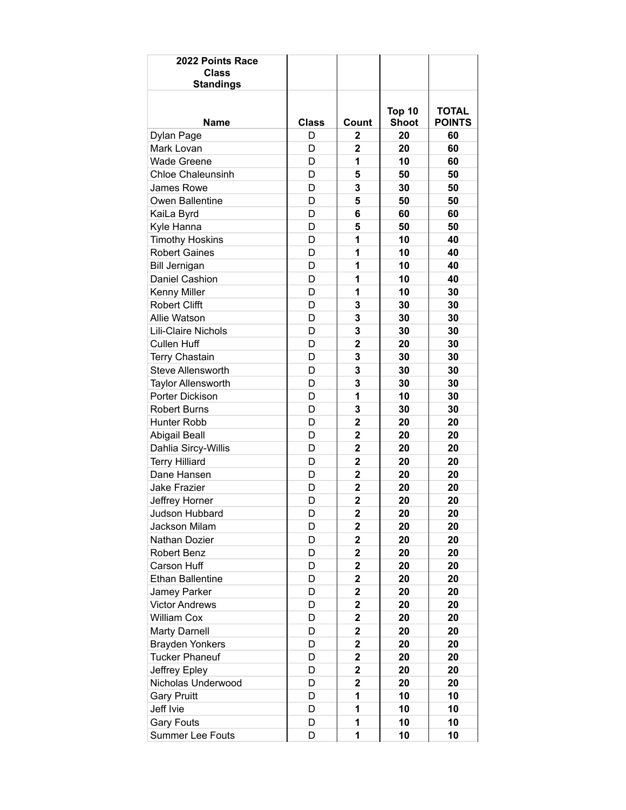| 2022 Points Race<br><b>Class</b><br><b>Standings</b> |              |                         |                        |                               |
|------------------------------------------------------|--------------|-------------------------|------------------------|-------------------------------|
| <b>Name</b>                                          | <b>Class</b> | Count                   | Top 10<br><b>Shoot</b> | <b>TOTAL</b><br><b>POINTS</b> |
| Dylan Page                                           | D            | 2                       | 20                     | 60                            |
| Mark Lovan                                           | D            | $\overline{2}$          | 20                     | 60                            |
| <b>Wade Greene</b>                                   | D            | 1                       | 10                     | 60                            |
| <b>Chloe Chaleunsinh</b>                             | D            | 5                       | 50                     | 50                            |
| James Rowe                                           | D            | 3                       | 30                     | 50                            |
| Owen Ballentine                                      | D            | 5                       | 50                     | 50                            |
| KaiLa Byrd                                           | D            | 6                       | 60                     | 60                            |
| Kyle Hanna                                           | D            | 5                       | 50                     | 50                            |
| <b>Timothy Hoskins</b>                               | D            | 1                       | 10                     | 40                            |
| <b>Robert Gaines</b>                                 | D            | 1                       | 10                     | 40                            |
| <b>Bill Jernigan</b>                                 | D            | 1                       | 10                     | 40                            |
| Daniel Cashion                                       | D            | 1                       | 10                     | 40                            |
| Kenny Miller                                         | D            | 1                       | 10                     | 30                            |
| <b>Robert Clifft</b>                                 | D            | 3                       | 30                     | 30                            |
| Allie Watson                                         | D            | 3                       | 30                     | 30                            |
| Lili-Claire Nichols                                  | D            | 3                       | 30                     | 30                            |
| <b>Cullen Huff</b>                                   | D            | $\overline{\mathbf{2}}$ | 20                     | 30                            |
| <b>Terry Chastain</b>                                | D            | 3                       | 30                     | 30                            |
| <b>Steve Allensworth</b>                             | D            | 3                       | 30                     | 30                            |
| <b>Taylor Allensworth</b>                            | D            | 3                       | 30                     | 30                            |
| Porter Dickison                                      | D            | 1                       | 10                     | 30                            |
| <b>Robert Burns</b>                                  | D            | 3                       | 30                     | 30                            |
| Hunter Robb                                          | D            | $\overline{\mathbf{2}}$ | 20                     | 20                            |
| <b>Abigail Beall</b>                                 | D            | $\overline{\mathbf{2}}$ | 20                     | 20                            |
| Dahlia Sircy-Willis                                  | D            | $\overline{\mathbf{2}}$ | 20                     | 20                            |
| <b>Terry Hilliard</b>                                | D            | 2                       | 20                     | 20                            |
| Dane Hansen                                          | D            | $\overline{\mathbf{2}}$ | 20                     | 20                            |
| <b>Jake Frazier</b>                                  | D            | $\overline{2}$          | 20                     | 20                            |
| Jeffrey Horner                                       | D            | $\overline{2}$          | 20                     | 20                            |
| Judson Hubbard                                       | D            | $\overline{\mathbf{2}}$ | 20                     | 20                            |
| Jackson Milam                                        | D            | $\mathbf 2$             | 20                     | 20                            |
| Nathan Dozier                                        | D            | 2                       | 20                     | 20                            |
| Robert Benz                                          | D            | $\mathbf 2$             | 20                     | 20                            |
| Carson Huff                                          | D            | $\mathbf 2$             | 20                     | 20                            |
| <b>Ethan Ballentine</b>                              | D            | $\mathbf 2$             | 20                     | 20                            |
| Jamey Parker                                         | D            | $\overline{\mathbf{c}}$ | 20                     | 20                            |
| <b>Victor Andrews</b>                                | D            | $\overline{\mathbf{2}}$ | 20                     | 20                            |
| <b>William Cox</b>                                   | D            | $\mathbf 2$             | 20                     | 20                            |
| <b>Marty Darnell</b>                                 | D            | 2                       | 20                     | 20                            |
| <b>Brayden Yonkers</b>                               | D            | 2                       | 20                     | 20                            |
| <b>Tucker Phaneuf</b>                                | D            | $\mathbf 2$             | 20                     | 20                            |
| Jeffrey Epley                                        | D            | $\mathbf 2$             | 20                     | 20                            |
| Nicholas Underwood                                   | D            | $\overline{\mathbf{2}}$ | 20                     | 20                            |
| <b>Gary Pruitt</b>                                   | D            | 1                       | 10                     | 10                            |
| Jeff Ivie                                            | D            | 1                       | 10                     | 10                            |
| <b>Gary Fouts</b>                                    | D            | 1                       | 10                     | 10                            |
| <b>Summer Lee Fouts</b>                              | D            | 1                       | 10                     | 10                            |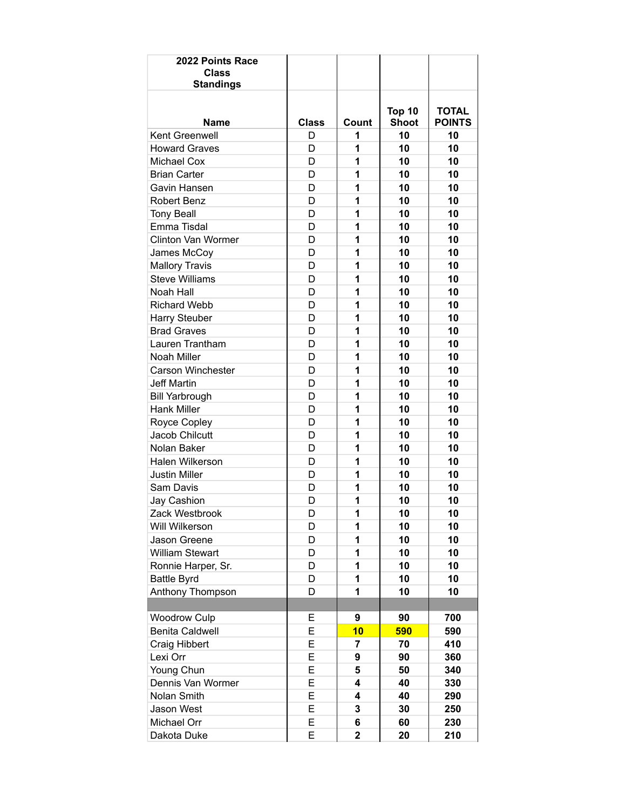| 2022 Points Race<br><b>Class</b><br><b>Standings</b> |              |                         |                        |                               |
|------------------------------------------------------|--------------|-------------------------|------------------------|-------------------------------|
| <b>Name</b>                                          | <b>Class</b> | Count                   | Top 10<br><b>Shoot</b> | <b>TOTAL</b><br><b>POINTS</b> |
| Kent Greenwell                                       | D            | 1                       | 10                     | 10                            |
| <b>Howard Graves</b>                                 | D            | 1                       | 10                     | 10                            |
| <b>Michael Cox</b>                                   | D            | 1                       | 10                     | 10                            |
| <b>Brian Carter</b>                                  | D            | 1                       | 10                     | 10                            |
| Gavin Hansen                                         | D            | 1                       | 10                     | 10                            |
| Robert Benz                                          | D            | 1                       | 10                     | 10                            |
| <b>Tony Beall</b>                                    | D            | 1                       | 10                     | 10                            |
| Emma Tisdal                                          | D            | 1                       | 10                     | 10                            |
| Clinton Van Wormer                                   | D            | 1                       | 10                     | 10                            |
| James McCoy                                          | D            | 1                       | 10                     | 10                            |
| <b>Mallory Travis</b>                                | D            | 1                       | 10                     | 10                            |
| <b>Steve Williams</b>                                | D            | 1                       | 10                     | 10                            |
| Noah Hall                                            | D            | 1                       | 10                     | 10                            |
| <b>Richard Webb</b>                                  | D            | 1                       | 10                     | 10                            |
| Harry Steuber                                        | D            | 1                       | 10                     | 10                            |
| <b>Brad Graves</b>                                   | D            | 1                       | 10                     | 10                            |
| Lauren Trantham                                      | D            | 1                       | 10                     | 10                            |
| Noah Miller                                          | D            | 1                       | 10                     | 10                            |
| <b>Carson Winchester</b>                             | D            | 1                       | 10                     | 10                            |
| <b>Jeff Martin</b>                                   | D            | 1                       | 10                     | 10                            |
| <b>Bill Yarbrough</b>                                | D            | 1                       | 10                     | 10                            |
| <b>Hank Miller</b>                                   | D            | 1                       | 10                     | 10                            |
| Royce Copley                                         | D            | 1                       | 10                     | 10                            |
| Jacob Chilcutt                                       | D            | 1                       | 10                     | 10                            |
| Nolan Baker                                          | D            | 1                       | 10                     | 10                            |
| Halen Wilkerson                                      | D            | 1                       | 10                     | 10                            |
| <b>Justin Miller</b>                                 | D            | 1                       | 10                     | 10                            |
| Sam Davis                                            | D            | 1                       | 10                     | 10                            |
| Jay Cashion                                          | D            | 1                       | 10                     | 10                            |
| Zack Westbrook                                       | D            | 1                       | 10                     | 10                            |
| Will Wilkerson                                       | D            | 1                       | 10                     | 10                            |
| Jason Greene                                         | D            | 1                       | 10                     | 10                            |
| <b>William Stewart</b>                               | D            | 1                       | 10                     | 10                            |
| Ronnie Harper, Sr.                                   | D            | 1                       | 10                     | 10                            |
| <b>Battle Byrd</b>                                   | D            | 1                       | 10                     | 10                            |
| Anthony Thompson                                     | D            | 1                       | 10                     | 10                            |
|                                                      |              |                         |                        |                               |
| <b>Woodrow Culp</b>                                  | Е            | 9                       | 90                     | 700                           |
| <b>Benita Caldwell</b>                               | Е            | 10                      | 590                    | 590                           |
| <b>Craig Hibbert</b>                                 | E            | 7                       | 70                     | 410                           |
| Lexi Orr                                             | E            | 9                       | 90                     | 360                           |
| Young Chun                                           | Е            | 5                       | 50                     | 340                           |
| Dennis Van Wormer                                    | E            | 4                       | 40                     | 330                           |
| Nolan Smith                                          | E            | 4                       | 40                     | 290                           |
| Jason West                                           | E            | 3                       | 30                     | 250                           |
| Michael Orr                                          | Е            | 6                       | 60                     | 230                           |
| Dakota Duke                                          | Е            | $\overline{\mathbf{2}}$ | 20                     | 210                           |